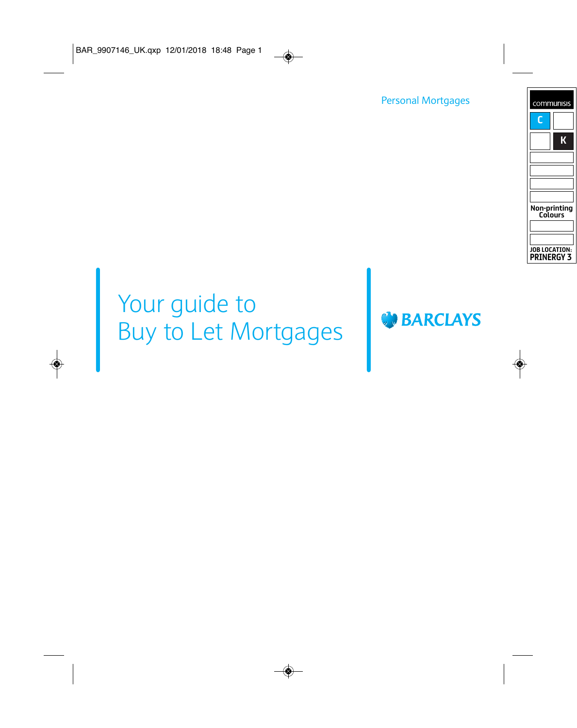Personal Mortgages

# Your guide to Your guide to<br>Buy to Let Mortgages

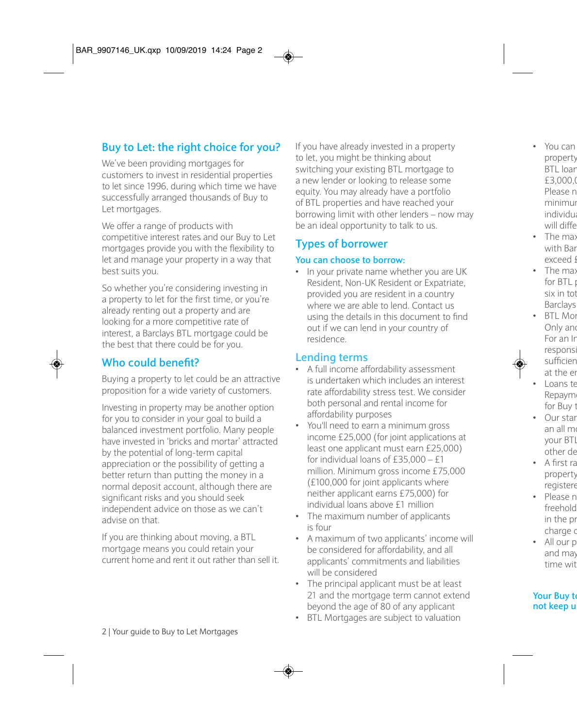# **Buy to Let: the right choice for you?**

We've been providing mortgages for customers to invest in residential properties to let since 1996, during which time we have successfully arranged thousands of Buy to Let mortgages.

We offer a range of products with competitive interest rates and our Buy to Let mortgages provide you with the flexibility to let and manage your property in a way that best suits you.

So whether you're considering investing in a property to let for the first time, or you're already renting out a property and are looking for a more competitive rate of interest, a Barclays BTL mortgage could be the best that there could be for you.

# **Who could benefit?**

Buying a property to let could be an attractive proposition for a wide variety of customers.

Investing in property may be another option for you to consider in your goal to build a balanced investment portfolio. Many people have invested in 'bricks and mortar' attracted by the potential of long-term capital appreciation or the possibility of getting a better return than putting the money in a normal deposit account, although there are significant risks and you should seek independent advice on those as we can't advise on that.

If you are thinking about moving, a BTL mortgage means you could retain your current home and rent it out rather than sell it. If you have already invested in a property to let, you might be thinking about switching your existing BTL mortgage to a new lender or looking to release some equity. You may already have a portfolio of BTL properties and have reached your borrowing limit with other lenders – now may be an ideal opportunity to talk to us.

# **Types of borrower**

#### **You can choose to borrow:**

• In your private name whether you are UK Resident, Non-UK Resident or Expatriate, provided you are resident in a country where we are able to lend. Contact us using the details in this document to find out if we can lend in your country of residence.

## **Lending terms**

- A full income affordability assessment is undertaken which includes an interest rate affordability stress test. We consider both personal and rental income for affordability purposes
- You'll need to earn a minimum gross income £25,000 (for joint applications at least one applicant must earn £25,000) for individual loans of  $f35,000 - f1$ million. Minimum gross income £75,000 (£100,000 for joint applicants where neither applicant earns £75,000) for individual loans above £1 million
- The maximum number of applicants is four
- A maximum of two applicants' income will be considered for affordability, and all applicants' commitments and liabilities will be considered
- The principal applicant must be at least 21 and the mortgage term cannot extend beyond the age of 80 of any applicant
- BTL Mortgages are subject to valuation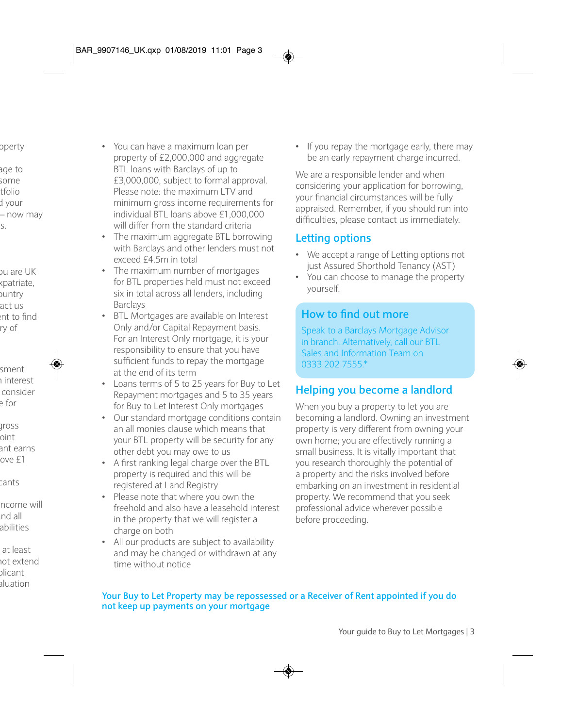- You can have a maximum loan per property of £2,000,000 and aggregate BTL loans with Barclays of up to £3,000,000, subject to formal approval. Please note: the maximum LTV and minimum gross income requirements for individual BTL loans above £1,000,000 will differ from the standard criteria
- The maximum aggregate BTL borrowing with Barclays and other lenders must not exceed £4.5m in total
- The maximum number of mortgages for BTL properties held must not exceed six in total across all lenders, including Barclays
- BTL Mortgages are available on Interest Only and/or Capital Repayment basis. For an Interest Only mortgage, it is your responsibility to ensure that you have sufficient funds to repay the mortgage at the end of its term
- Loans terms of 5 to 25 years for Buy to Let Repayment mortgages and 5 to 35 years for Buy to Let Interest Only mortgages
- Our standard mortgage conditions contain an all monies clause which means that your BTL property will be security for any other debt you may owe to us
- A first ranking legal charge over the BTL property is required and this will be registered at Land Registry
- Please note that where you own the freehold and also have a leasehold interest in the property that we will register a charge on both
- All our products are subject to availability and may be changed or withdrawn at any time without notice

• If you repay the mortgage early, there may be an early repayment charge incurred.

We are a responsible lender and when considering your application for borrowing, your financial circumstances will be fully appraised. Remember, if you should run into difficulties, please contact us immediately.

### **Letting options**

- We accept a range of Letting options not just Assured Shorthold Tenancy (AST)
- You can choose to manage the property yourself.

# **How to find out more**

Speak to a Barclays Mortgage Advisor in branch. Alternatively, call our BTL Sales and Information Team on 0333 202 7555.\*

## **Helping you become a landlord**

When you buy a property to let you are becoming a landlord. Owning an investment property is very different from owning your own home; you are effectively running a small business. It is vitally important that you research thoroughly the potential of a property and the risks involved before embarking on an investment in residential property. We recommend that you seek professional advice wherever possible before proceeding.

#### **Your Buy to Let Property may be repossessed or a Receiver of Rent appointed if you do not keep up payments on your mortgage**